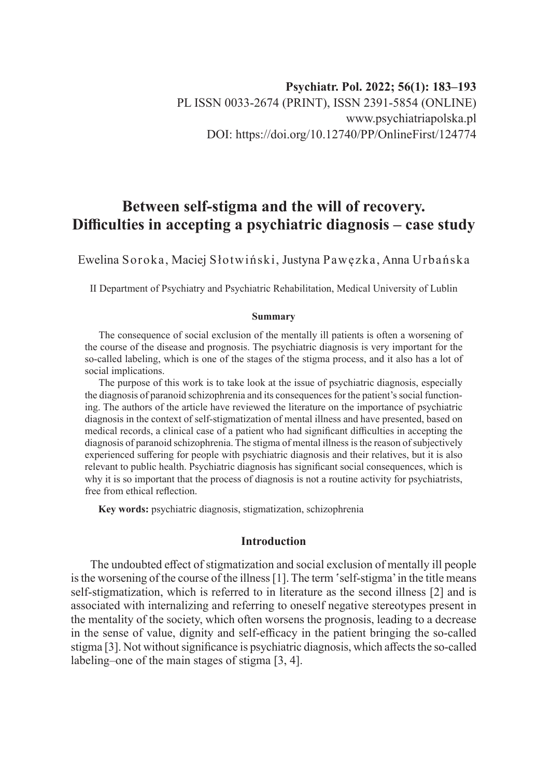# **Between self-stigma and the will of recovery. Difficulties in accepting a psychiatric diagnosis – case study**

Ewelina Soroka, Maciej Słotwiński, Justyna Pawęzka, Anna Urbańska

II Department of Psychiatry and Psychiatric Rehabilitation, Medical University of Lublin

#### **Summary**

The consequence of social exclusion of the mentally ill patients is often a worsening of the course of the disease and prognosis. The psychiatric diagnosis is very important for the so-called labeling, which is one of the stages of the stigma process, and it also has a lot of social implications.

The purpose of this work is to take look at the issue of psychiatric diagnosis, especially the diagnosis of paranoid schizophrenia and its consequences for the patient's social functioning. The authors of the article have reviewed the literature on the importance of psychiatric diagnosis in the context of self-stigmatization of mental illness and have presented, based on medical records, a clinical case of a patient who had significant difficulties in accepting the diagnosis of paranoid schizophrenia. The stigma of mental illness is the reason of subjectively experienced suffering for people with psychiatric diagnosis and their relatives, but it is also relevant to public health. Psychiatric diagnosis has significant social consequences, which is why it is so important that the process of diagnosis is not a routine activity for psychiatrists, free from ethical reflection.

**Key words:** psychiatric diagnosis, stigmatization, schizophrenia

# **Introduction**

The undoubted effect of stigmatization and social exclusion of mentally ill people is the worsening of the course of the illness [1]. The term 'self-stigma' in the title means self-stigmatization, which is referred to in literature as the second illness [2] and is associated with internalizing and referring to oneself negative stereotypes present in the mentality of the society, which often worsens the prognosis, leading to a decrease in the sense of value, dignity and self-efficacy in the patient bringing the so-called stigma [3]. Not without significance is psychiatric diagnosis, which affects the so-called labeling–one of the main stages of stigma [3, 4].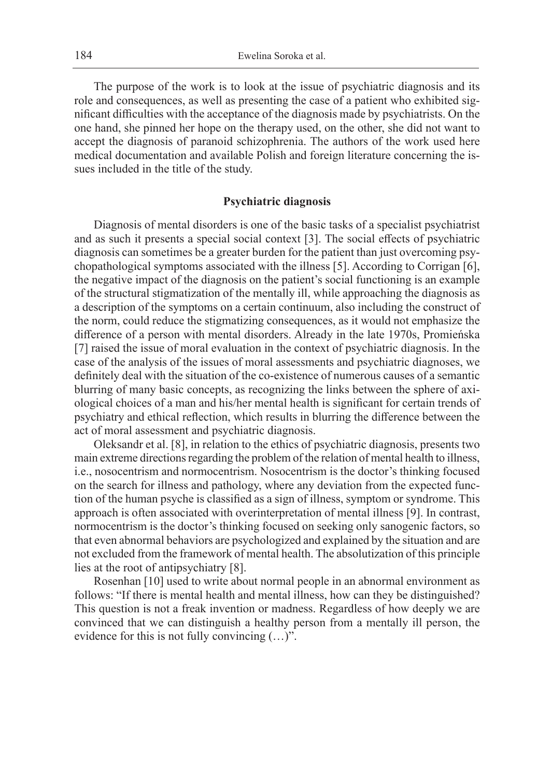The purpose of the work is to look at the issue of psychiatric diagnosis and its role and consequences, as well as presenting the case of a patient who exhibited significant difficulties with the acceptance of the diagnosis made by psychiatrists. On the one hand, she pinned her hope on the therapy used, on the other, she did not want to accept the diagnosis of paranoid schizophrenia. The authors of the work used here medical documentation and available Polish and foreign literature concerning the issues included in the title of the study.

### **Psychiatric diagnosis**

Diagnosis of mental disorders is one of the basic tasks of a specialist psychiatrist and as such it presents a special social context [3]. The social effects of psychiatric diagnosis can sometimes be a greater burden for the patient than just overcoming psychopathological symptoms associated with the illness [5]. According to Corrigan [6], the negative impact of the diagnosis on the patient's social functioning is an example of the structural stigmatization of the mentally ill, while approaching the diagnosis as a description of the symptoms on a certain continuum, also including the construct of the norm, could reduce the stigmatizing consequences, as it would not emphasize the difference of a person with mental disorders. Already in the late 1970s, Promieńska [7] raised the issue of moral evaluation in the context of psychiatric diagnosis. In the case of the analysis of the issues of moral assessments and psychiatric diagnoses, we definitely deal with the situation of the co-existence of numerous causes of a semantic blurring of many basic concepts, as recognizing the links between the sphere of axiological choices of a man and his/her mental health is significant for certain trends of psychiatry and ethical reflection, which results in blurring the difference between the act of moral assessment and psychiatric diagnosis.

Oleksandr et al. [8], in relation to the ethics of psychiatric diagnosis, presents two main extreme directions regarding the problem of the relation of mental health to illness, i.e., nosocentrism and normocentrism. Nosocentrism is the doctor's thinking focused on the search for illness and pathology, where any deviation from the expected function of the human psyche is classified as a sign of illness, symptom or syndrome. This approach is often associated with overinterpretation of mental illness [9]. In contrast, normocentrism is the doctor's thinking focused on seeking only sanogenic factors, so that even abnormal behaviors are psychologized and explained by the situation and are not excluded from the framework of mental health. The absolutization of this principle lies at the root of antipsychiatry [8].

Rosenhan [10] used to write about normal people in an abnormal environment as follows: "If there is mental health and mental illness, how can they be distinguished? This question is not a freak invention or madness. Regardless of how deeply we are convinced that we can distinguish a healthy person from a mentally ill person, the evidence for this is not fully convincing (…)".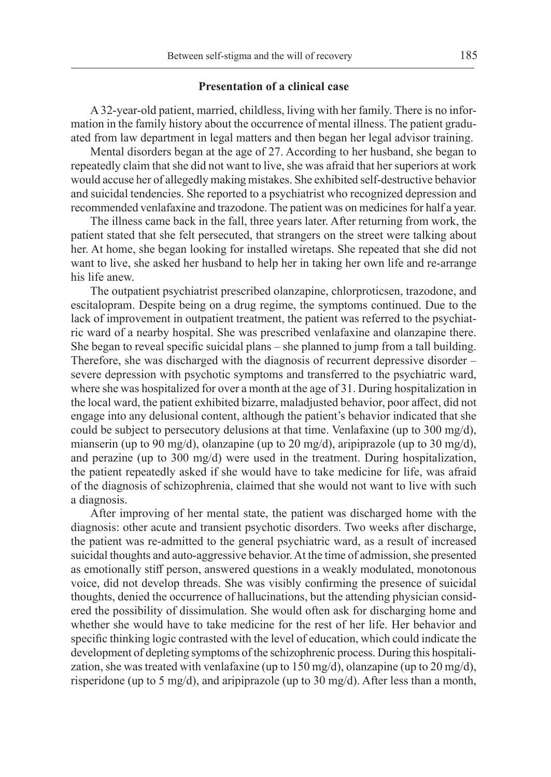#### **Presentation of a clinical case**

A 32-year-old patient, married, childless, living with her family. There is no information in the family history about the occurrence of mental illness. The patient graduated from law department in legal matters and then began her legal advisor training.

Mental disorders began at the age of 27. According to her husband, she began to repeatedly claim that she did not want to live, she was afraid that her superiors at work would accuse her of allegedly making mistakes. She exhibited self-destructive behavior and suicidal tendencies. She reported to a psychiatrist who recognized depression and recommended venlafaxine and trazodone. The patient was on medicines for half a year.

The illness came back in the fall, three years later. After returning from work, the patient stated that she felt persecuted, that strangers on the street were talking about her. At home, she began looking for installed wiretaps. She repeated that she did not want to live, she asked her husband to help her in taking her own life and re-arrange his life anew.

The outpatient psychiatrist prescribed olanzapine, chlorproticsen, trazodone, and escitalopram. Despite being on a drug regime, the symptoms continued. Due to the lack of improvement in outpatient treatment, the patient was referred to the psychiatric ward of a nearby hospital. She was prescribed venlafaxine and olanzapine there. She began to reveal specific suicidal plans – she planned to jump from a tall building. Therefore, she was discharged with the diagnosis of recurrent depressive disorder – severe depression with psychotic symptoms and transferred to the psychiatric ward, where she was hospitalized for over a month at the age of 31. During hospitalization in the local ward, the patient exhibited bizarre, maladjusted behavior, poor affect, did not engage into any delusional content, although the patient's behavior indicated that she could be subject to persecutory delusions at that time. Venlafaxine (up to 300 mg/d), mianserin (up to 90 mg/d), olanzapine (up to 20 mg/d), aripiprazole (up to 30 mg/d), and perazine (up to 300 mg/d) were used in the treatment. During hospitalization, the patient repeatedly asked if she would have to take medicine for life, was afraid of the diagnosis of schizophrenia, claimed that she would not want to live with such a diagnosis.

After improving of her mental state, the patient was discharged home with the diagnosis: other acute and transient psychotic disorders. Two weeks after discharge, the patient was re-admitted to the general psychiatric ward, as a result of increased suicidal thoughts and auto-aggressive behavior. At the time of admission, she presented as emotionally stiff person, answered questions in a weakly modulated, monotonous voice, did not develop threads. She was visibly confirming the presence of suicidal thoughts, denied the occurrence of hallucinations, but the attending physician considered the possibility of dissimulation. She would often ask for discharging home and whether she would have to take medicine for the rest of her life. Her behavior and specific thinking logic contrasted with the level of education, which could indicate the development of depleting symptoms of the schizophrenic process. During this hospitalization, she was treated with venlafaxine (up to  $150 \text{ mg/d}$ ), olanzapine (up to  $20 \text{ mg/d}$ ), risperidone (up to 5 mg/d), and aripiprazole (up to 30 mg/d). After less than a month,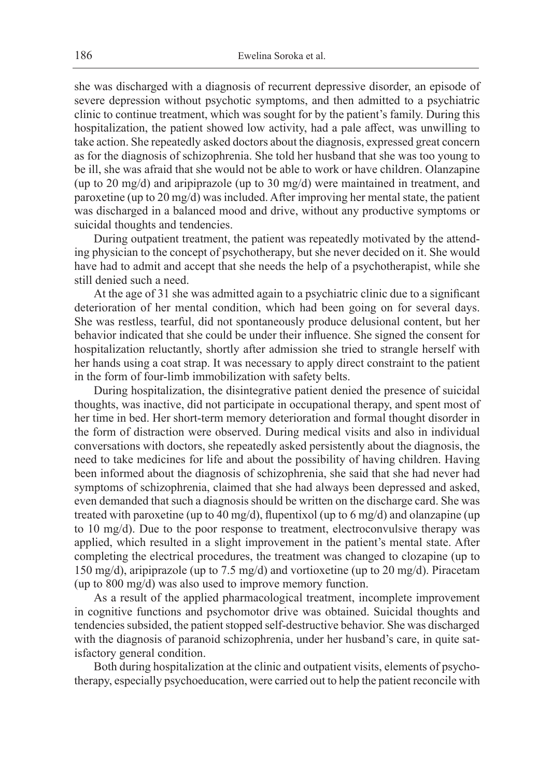she was discharged with a diagnosis of recurrent depressive disorder, an episode of severe depression without psychotic symptoms, and then admitted to a psychiatric clinic to continue treatment, which was sought for by the patient's family. During this hospitalization, the patient showed low activity, had a pale affect, was unwilling to take action. She repeatedly asked doctors about the diagnosis, expressed great concern as for the diagnosis of schizophrenia. She told her husband that she was too young to be ill, she was afraid that she would not be able to work or have children. Olanzapine (up to 20 mg/d) and aripiprazole (up to 30 mg/d) were maintained in treatment, and paroxetine (up to 20 mg/d) was included. After improving her mental state, the patient was discharged in a balanced mood and drive, without any productive symptoms or suicidal thoughts and tendencies.

During outpatient treatment, the patient was repeatedly motivated by the attending physician to the concept of psychotherapy, but she never decided on it. She would have had to admit and accept that she needs the help of a psychotherapist, while she still denied such a need.

At the age of 31 she was admitted again to a psychiatric clinic due to a significant deterioration of her mental condition, which had been going on for several days. She was restless, tearful, did not spontaneously produce delusional content, but her behavior indicated that she could be under their influence. She signed the consent for hospitalization reluctantly, shortly after admission she tried to strangle herself with her hands using a coat strap. It was necessary to apply direct constraint to the patient in the form of four-limb immobilization with safety belts.

During hospitalization, the disintegrative patient denied the presence of suicidal thoughts, was inactive, did not participate in occupational therapy, and spent most of her time in bed. Her short-term memory deterioration and formal thought disorder in the form of distraction were observed. During medical visits and also in individual conversations with doctors, she repeatedly asked persistently about the diagnosis, the need to take medicines for life and about the possibility of having children. Having been informed about the diagnosis of schizophrenia, she said that she had never had symptoms of schizophrenia, claimed that she had always been depressed and asked, even demanded that such a diagnosis should be written on the discharge card. She was treated with paroxetine (up to 40 mg/d), flupentixol (up to 6 mg/d) and olanzapine (up to 10 mg/d). Due to the poor response to treatment, electroconvulsive therapy was applied, which resulted in a slight improvement in the patient's mental state. After completing the electrical procedures, the treatment was changed to clozapine (up to 150 mg/d), aripiprazole (up to 7.5 mg/d) and vortioxetine (up to 20 mg/d). Piracetam (up to 800 mg/d) was also used to improve memory function.

As a result of the applied pharmacological treatment, incomplete improvement in cognitive functions and psychomotor drive was obtained. Suicidal thoughts and tendencies subsided, the patient stopped self-destructive behavior. She was discharged with the diagnosis of paranoid schizophrenia, under her husband's care, in quite satisfactory general condition.

Both during hospitalization at the clinic and outpatient visits, elements of psychotherapy, especially psychoeducation, were carried out to help the patient reconcile with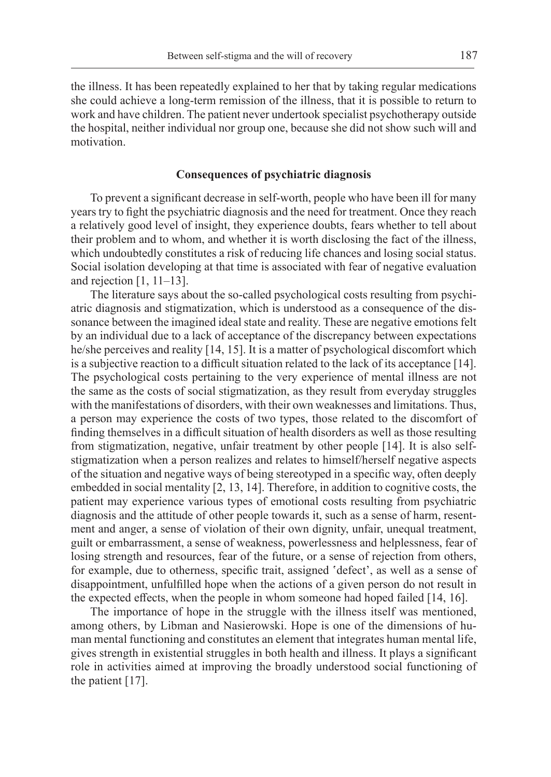the illness. It has been repeatedly explained to her that by taking regular medications she could achieve a long-term remission of the illness, that it is possible to return to work and have children. The patient never undertook specialist psychotherapy outside the hospital, neither individual nor group one, because she did not show such will and motivation.

## **Consequences of psychiatric diagnosis**

To prevent a significant decrease in self-worth, people who have been ill for many years try to fight the psychiatric diagnosis and the need for treatment. Once they reach a relatively good level of insight, they experience doubts, fears whether to tell about their problem and to whom, and whether it is worth disclosing the fact of the illness, which undoubtedly constitutes a risk of reducing life chances and losing social status. Social isolation developing at that time is associated with fear of negative evaluation and rejection  $[1, 11-13]$ .

The literature says about the so-called psychological costs resulting from psychiatric diagnosis and stigmatization, which is understood as a consequence of the dissonance between the imagined ideal state and reality. These are negative emotions felt by an individual due to a lack of acceptance of the discrepancy between expectations he/she perceives and reality [14, 15]. It is a matter of psychological discomfort which is a subjective reaction to a difficult situation related to the lack of its acceptance [14]. The psychological costs pertaining to the very experience of mental illness are not the same as the costs of social stigmatization, as they result from everyday struggles with the manifestations of disorders, with their own weaknesses and limitations. Thus, a person may experience the costs of two types, those related to the discomfort of finding themselves in a difficult situation of health disorders as well as those resulting from stigmatization, negative, unfair treatment by other people [14]. It is also selfstigmatization when a person realizes and relates to himself/herself negative aspects of the situation and negative ways of being stereotyped in a specific way, often deeply embedded in social mentality [2, 13, 14]. Therefore, in addition to cognitive costs, the patient may experience various types of emotional costs resulting from psychiatric diagnosis and the attitude of other people towards it, such as a sense of harm, resentment and anger, a sense of violation of their own dignity, unfair, unequal treatment, guilt or embarrassment, a sense of weakness, powerlessness and helplessness, fear of losing strength and resources, fear of the future, or a sense of rejection from others, for example, due to otherness, specific trait, assigned 'defect', as well as a sense of disappointment, unfulfilled hope when the actions of a given person do not result in the expected effects, when the people in whom someone had hoped failed [14, 16].

The importance of hope in the struggle with the illness itself was mentioned, among others, by Libman and Nasierowski. Hope is one of the dimensions of human mental functioning and constitutes an element that integrates human mental life, gives strength in existential struggles in both health and illness. It plays a significant role in activities aimed at improving the broadly understood social functioning of the patient [17].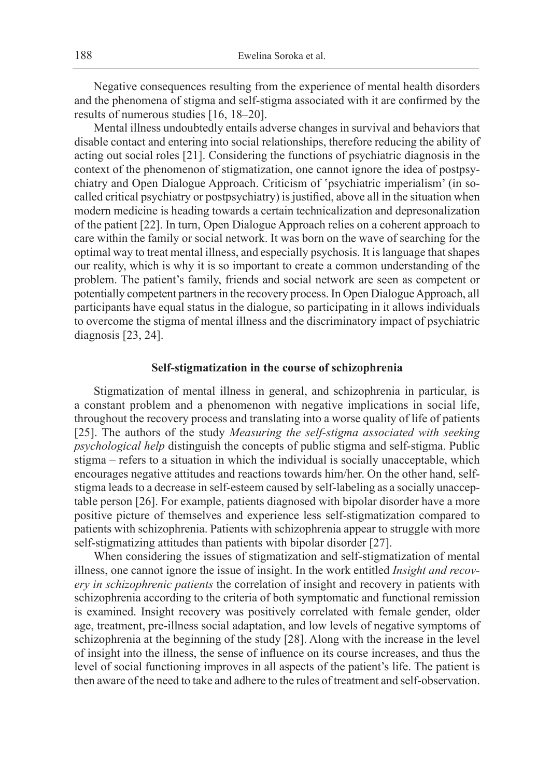Negative consequences resulting from the experience of mental health disorders and the phenomena of stigma and self-stigma associated with it are confirmed by the results of numerous studies [16, 18–20].

Mental illness undoubtedly entails adverse changes in survival and behaviors that disable contact and entering into social relationships, therefore reducing the ability of acting out social roles [21]. Considering the functions of psychiatric diagnosis in the context of the phenomenon of stigmatization, one cannot ignore the idea of postpsychiatry and Open Dialogue Approach. Criticism of 'psychiatric imperialism' (in socalled critical psychiatry or postpsychiatry) is justified, above all in the situation when modern medicine is heading towards a certain technicalization and depresonalization of the patient [22]. In turn, Open Dialogue Approach relies on a coherent approach to care within the family or social network. It was born on the wave of searching for the optimal way to treat mental illness, and especially psychosis. It is language that shapes our reality, which is why it is so important to create a common understanding of the problem. The patient's family, friends and social network are seen as competent or potentially competent partners in the recovery process. In Open Dialogue Approach, all participants have equal status in the dialogue, so participating in it allows individuals to overcome the stigma of mental illness and the discriminatory impact of psychiatric diagnosis [23, 24].

#### **Self-stigmatization in the course of schizophrenia**

Stigmatization of mental illness in general, and schizophrenia in particular, is a constant problem and a phenomenon with negative implications in social life, throughout the recovery process and translating into a worse quality of life of patients [25]. The authors of the study *Measuring the self-stigma associated with seeking psychological help* distinguish the concepts of public stigma and self-stigma. Public stigma – refers to a situation in which the individual is socially unacceptable, which encourages negative attitudes and reactions towards him/her. On the other hand, selfstigma leads to a decrease in self-esteem caused by self-labeling as a socially unacceptable person [26]. For example, patients diagnosed with bipolar disorder have a more positive picture of themselves and experience less self-stigmatization compared to patients with schizophrenia. Patients with schizophrenia appear to struggle with more self-stigmatizing attitudes than patients with bipolar disorder [27].

When considering the issues of stigmatization and self-stigmatization of mental illness, one cannot ignore the issue of insight. In the work entitled *Insight and recovery in schizophrenic patients* the correlation of insight and recovery in patients with schizophrenia according to the criteria of both symptomatic and functional remission is examined. Insight recovery was positively correlated with female gender, older age, treatment, pre-illness social adaptation, and low levels of negative symptoms of schizophrenia at the beginning of the study [28]. Along with the increase in the level of insight into the illness, the sense of influence on its course increases, and thus the level of social functioning improves in all aspects of the patient's life. The patient is then aware of the need to take and adhere to the rules of treatment and self-observation.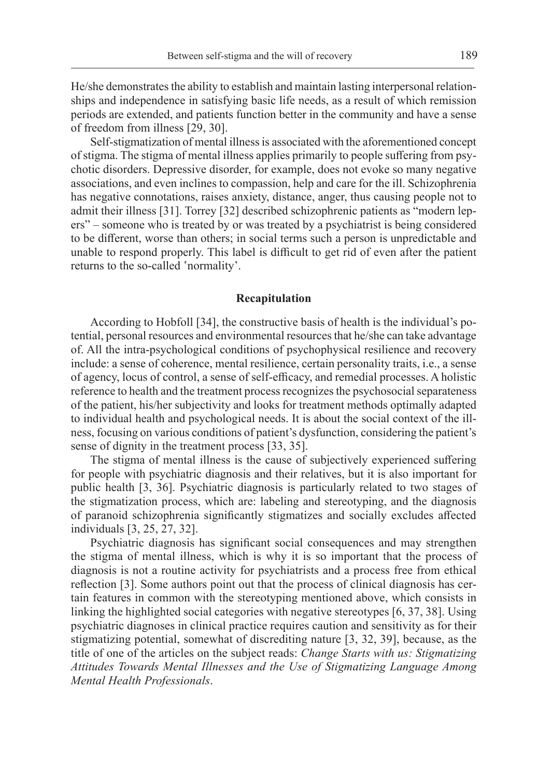He/she demonstrates the ability to establish and maintain lasting interpersonal relationships and independence in satisfying basic life needs, as a result of which remission periods are extended, and patients function better in the community and have a sense of freedom from illness [29, 30].

Self-stigmatization of mental illness is associated with the aforementioned concept of stigma. The stigma of mental illness applies primarily to people suffering from psychotic disorders. Depressive disorder, for example, does not evoke so many negative associations, and even inclines to compassion, help and care for the ill. Schizophrenia has negative connotations, raises anxiety, distance, anger, thus causing people not to admit their illness [31]. Torrey [32] described schizophrenic patients as "modern lepers" – someone who is treated by or was treated by a psychiatrist is being considered to be different, worse than others; in social terms such a person is unpredictable and unable to respond properly. This label is difficult to get rid of even after the patient returns to the so-called 'normality'.

#### **Recapitulation**

According to Hobfoll [34], the constructive basis of health is the individual's potential, personal resources and environmental resources that he/she can take advantage of. All the intra-psychological conditions of psychophysical resilience and recovery include: a sense of coherence, mental resilience, certain personality traits, i.e., a sense of agency, locus of control, a sense of self-efficacy, and remedial processes. A holistic reference to health and the treatment process recognizes the psychosocial separateness of the patient, his/her subjectivity and looks for treatment methods optimally adapted to individual health and psychological needs. It is about the social context of the illness, focusing on various conditions of patient's dysfunction, considering the patient's sense of dignity in the treatment process [33, 35].

The stigma of mental illness is the cause of subjectively experienced suffering for people with psychiatric diagnosis and their relatives, but it is also important for public health [3, 36]. Psychiatric diagnosis is particularly related to two stages of the stigmatization process, which are: labeling and stereotyping, and the diagnosis of paranoid schizophrenia significantly stigmatizes and socially excludes affected individuals [3, 25, 27, 32].

Psychiatric diagnosis has significant social consequences and may strengthen the stigma of mental illness, which is why it is so important that the process of diagnosis is not a routine activity for psychiatrists and a process free from ethical reflection [3]. Some authors point out that the process of clinical diagnosis has certain features in common with the stereotyping mentioned above, which consists in linking the highlighted social categories with negative stereotypes [6, 37, 38]. Using psychiatric diagnoses in clinical practice requires caution and sensitivity as for their stigmatizing potential, somewhat of discrediting nature [3, 32, 39], because, as the title of one of the articles on the subject reads: *Change Starts with us: Stigmatizing Attitudes Towards Mental Illnesses and the Use of Stigmatizing Language Among Mental Health Professionals*.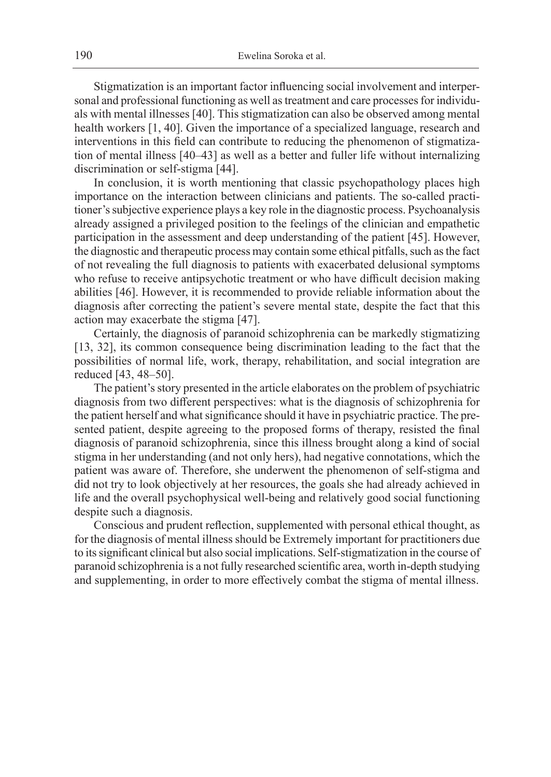Stigmatization is an important factor influencing social involvement and interpersonal and professional functioning as well as treatment and care processes for individuals with mental illnesses [40]. This stigmatization can also be observed among mental health workers [1, 40]. Given the importance of a specialized language, research and interventions in this field can contribute to reducing the phenomenon of stigmatization of mental illness [40–43] as well as a better and fuller life without internalizing discrimination or self-stigma [44].

In conclusion, it is worth mentioning that classic psychopathology places high importance on the interaction between clinicians and patients. The so-called practitioner's subjective experience plays a key role in the diagnostic process. Psychoanalysis already assigned a privileged position to the feelings of the clinician and empathetic participation in the assessment and deep understanding of the patient [45]. However, the diagnostic and therapeutic process may contain some ethical pitfalls, such as the fact of not revealing the full diagnosis to patients with exacerbated delusional symptoms who refuse to receive antipsychotic treatment or who have difficult decision making abilities [46]. However, it is recommended to provide reliable information about the diagnosis after correcting the patient's severe mental state, despite the fact that this action may exacerbate the stigma [47].

Certainly, the diagnosis of paranoid schizophrenia can be markedly stigmatizing [13, 32], its common consequence being discrimination leading to the fact that the possibilities of normal life, work, therapy, rehabilitation, and social integration are reduced [43, 48–50].

The patient's story presented in the article elaborates on the problem of psychiatric diagnosis from two different perspectives: what is the diagnosis of schizophrenia for the patient herself and what significance should it have in psychiatric practice. The presented patient, despite agreeing to the proposed forms of therapy, resisted the final diagnosis of paranoid schizophrenia, since this illness brought along a kind of social stigma in her understanding (and not only hers), had negative connotations, which the patient was aware of. Therefore, she underwent the phenomenon of self-stigma and did not try to look objectively at her resources, the goals she had already achieved in life and the overall psychophysical well-being and relatively good social functioning despite such a diagnosis.

Conscious and prudent reflection, supplemented with personal ethical thought, as for the diagnosis of mental illness should be Extremely important for practitioners due to its significant clinical but also social implications. Self-stigmatization in the course of paranoid schizophrenia is a not fully researched scientific area, worth in-depth studying and supplementing, in order to more effectively combat the stigma of mental illness.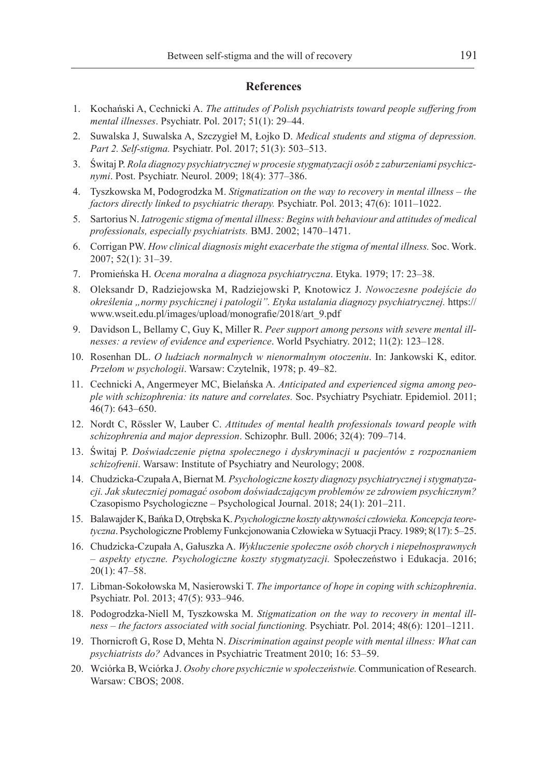#### **References**

- 1. Kochański A, Cechnicki A. *The attitudes of Polish psychiatrists toward people suffering from mental illnesses*. Psychiatr. Pol. 2017; 51(1): 29–44.
- 2. Suwalska J, Suwalska A, Szczygieł M, Łojko D. *Medical students and stigma of depression. Part 2. Self-stigma.* Psychiatr. Pol. 2017; 51(3): 503–513.
- 3. Świtaj P. *Rola diagnozy psychiatrycznej w procesie stygmatyzacji osób z zaburzeniami psychicznymi*. Post. Psychiatr. Neurol. 2009; 18(4): 377–386.
- 4. Tyszkowska M, Podogrodzka M. *Stigmatization on the way to recovery in mental illness the factors directly linked to psychiatric therapy. Psychiatr. Pol. 2013; 47(6): 1011–1022.*
- 5. Sartorius N. *Iatrogenic stigma of mental illness: Begins with behaviour and attitudes of medical professionals, especially psychiatrists.* BMJ. 2002; 1470–1471.
- 6. Corrigan PW. *How clinical diagnosis might exacerbate the stigma of mental illness.* Soc. Work. 2007; 52(1): 31–39.
- 7. Promieńska H. *Ocena moralna a diagnoza psychiatryczna*. Etyka. 1979; 17: 23–38.
- 8. Oleksandr D, Radziejowska M, Radziejowski P, Knotowicz J. *Nowoczesne podejście do określenia "normy psychicznej i patologii". Etyka ustalania diagnozy psychiatrycznej.* https:// www.wseit.edu.pl/images/upload/monografie/2018/art\_9.pdf
- 9. Davidson L, Bellamy C, Guy K, Miller R. *Peer support among persons with severe mental illnesses: a review of evidence and experience*. World Psychiatry. 2012; 11(2): 123–128.
- 10. Rosenhan DL. *O ludziach normalnych w nienormalnym otoczeniu*. In: Jankowski K, editor. *Przełom w psychologii*. Warsaw: Czytelnik, 1978; p. 49–82.
- 11. Cechnicki A, Angermeyer MC, Bielańska A. *Anticipated and experienced sigma among people with schizophrenia: its nature and correlates.* Soc. Psychiatry Psychiatr. Epidemiol. 2011; 46(7): 643–650.
- 12. Nordt C, Rössler W, Lauber C. *Attitudes of mental health professionals toward people with schizophrenia and major depression*. Schizophr. Bull. 2006; 32(4): 709–714.
- 13. Świtaj P. *Doświadczenie piętna społecznego i dyskryminacji u pacjentów z rozpoznaniem schizofrenii*. Warsaw: Institute of Psychiatry and Neurology; 2008.
- 14. Chudzicka-Czupała A, Biernat M*. Psychologiczne koszty diagnozy psychiatrycznej i stygmatyzacji. Jak skuteczniej pomagać osobom doświadczającym problemów ze zdrowiem psychicznym?*  Czasopismo Psychologiczne – Psychological Journal. 2018; 24(1): 201–211.
- 15. Balawajder K, Bańka D, Otrębska K. *Psychologiczne koszty aktywności człowieka. Koncepcja teoretyczna*. Psychologiczne Problemy Funkcjonowania Człowieka w Sytuacji Pracy. 1989; 8(17): 5–25.
- 16. Chudzicka-Czupała A, Gałuszka A. *Wykluczenie społeczne osób chorych i niepełnosprawnych – aspekty etyczne. Psychologiczne koszty stygmatyzacji.* Społeczeństwo i Edukacja. 2016; 20(1): 47–58.
- 17. Libman-Sokołowska M, Nasierowski T. *The importance of hope in coping with schizophrenia*. Psychiatr. Pol. 2013; 47(5): 933–946.
- 18. Podogrodzka-Niell M, Tyszkowska M. *Stigmatization on the way to recovery in mental illness – the factors associated with social functioning.* Psychiatr. Pol. 2014; 48(6): 1201–1211.
- 19. Thornicroft G, Rose D, Mehta N. *Discrimination against people with mental illness: What can psychiatrists do?* Advances in Psychiatric Treatment 2010; 16: 53–59.
- 20. Wciórka B, Wciórka J. *Osoby chore psychicznie w społeczeństwie.* Communication of Research. Warsaw: CBOS; 2008.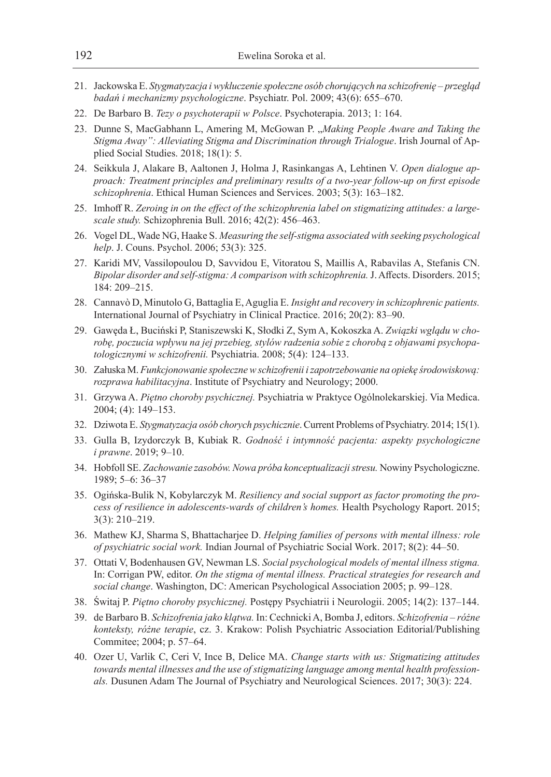- 21. Jackowska E. *Stygmatyzacja i wykluczenie społeczne osób chorujących na schizofrenię przegląd badań i mechanizmy psychologiczne*. Psychiatr. Pol. 2009; 43(6): 655–670.
- 22. De Barbaro B. *Tezy o psychoterapii w Polsce*. Psychoterapia. 2013; 1: 164.
- 23. Dunne S, MacGabhann L, Amering M, McGowan P. "*Making People Aware and Taking the Stigma Away": Alleviating Stigma and Discrimination through Trialogue*. Irish Journal of Applied Social Studies. 2018; 18(1): 5.
- 24. Seikkula J, Alakare B, Aaltonen J, Holma J, Rasinkangas A, Lehtinen V. *Open dialogue approach: Treatment principles and preliminary results of a two-year follow-up on first episode schizophrenia*. Ethical Human Sciences and Services. 2003; 5(3): 163–182.
- 25. Imhoff R. *Zeroing in on the effect of the schizophrenia label on stigmatizing attitudes: a largescale study.* Schizophrenia Bull. 2016; 42(2): 456–463.
- 26. Vogel DL, Wade NG, Haake S. *Measuring the self-stigma associated with seeking psychological help*. J. Couns. Psychol. 2006; 53(3): 325.
- 27. Karidi MV, Vassilopoulou D, Savvidou E, Vitoratou S, Maillis A, Rabavilas A, Stefanis CN. *Bipolar disorder and self-stigma: A comparison with schizophrenia.* J. Affects. Disorders. 2015; 184: 209–215.
- 28. Cannavò D, Minutolo G, Battaglia E, Aguglia E. *Insight and recovery in schizophrenic patients.*  International Journal of Psychiatry in Clinical Practice. 2016; 20(2): 83–90.
- 29. Gawęda Ł, Buciński P, Staniszewski K, Słodki Z, Sym A, Kokoszka A. *Związki wglądu w chorobę, poczucia wpływu na jej przebieg, stylów radzenia sobie z chorobą z objawami psychopatologicznymi w schizofrenii.* Psychiatria. 2008; 5(4): 124–133.
- 30. Załuska M. *Funkcjonowanie społeczne w schizofrenii i zapotrzebowanie na opiekę środowiskową: rozprawa habilitacyjna*. Institute of Psychiatry and Neurology; 2000.
- 31. Grzywa A. *Piętno choroby psychicznej.* Psychiatria w Praktyce Ogólnolekarskiej. Via Medica. 2004; (4): 149–153.
- 32. Dziwota E. *Stygmatyzacja osób chorych psychicznie*. Current Problems of Psychiatry. 2014; 15(1).
- 33. Gulla B, Izydorczyk B, Kubiak R. *Godność i intymność pacjenta: aspekty psychologiczne i prawne*. 2019; 9–10.
- 34. Hobfoll SE. *Zachowanie zasobów. Nowa próba konceptualizacji stresu.* Nowiny Psychologiczne. 1989; 5–6: 36–37
- 35. Ogińska-Bulik N, Kobylarczyk M. *Resiliency and social support as factor promoting the process of resilience in adolescents-wards of children's homes.* Health Psychology Raport. 2015; 3(3): 210–219.
- 36. Mathew KJ, Sharma S, Bhattacharjee D. *Helping families of persons with mental illness: role of psychiatric social work.* Indian Journal of Psychiatric Social Work. 2017; 8(2): 44–50.
- 37. Ottati V, Bodenhausen GV, Newman LS. *Social psychological models of mental illness stigma.*  In: Corrigan PW, editor. *On the stigma of mental illness. Practical strategies for research and social change*. Washington, DC: American Psychological Association 2005; p. 99–128.
- 38. Świtaj P. *Piętno choroby psychicznej.* Postępy Psychiatrii i Neurologii. 2005; 14(2): 137–144.
- 39. de Barbaro B. *Schizofrenia jako klątwa.* In: Cechnicki A, Bomba J, editors. *Schizofrenia różne konteksty, różne terapie*, cz. 3. Krakow: Polish Psychiatric Association Editorial/Publishing Commitee; 2004; p. 57–64.
- 40. Ozer U, Varlik C, Ceri V, Ince B, Delice MA. *Change starts with us: Stigmatizing attitudes towards mental illnesses and the use of stigmatizing language among mental health professionals.* Dusunen Adam The Journal of Psychiatry and Neurological Sciences. 2017; 30(3): 224.